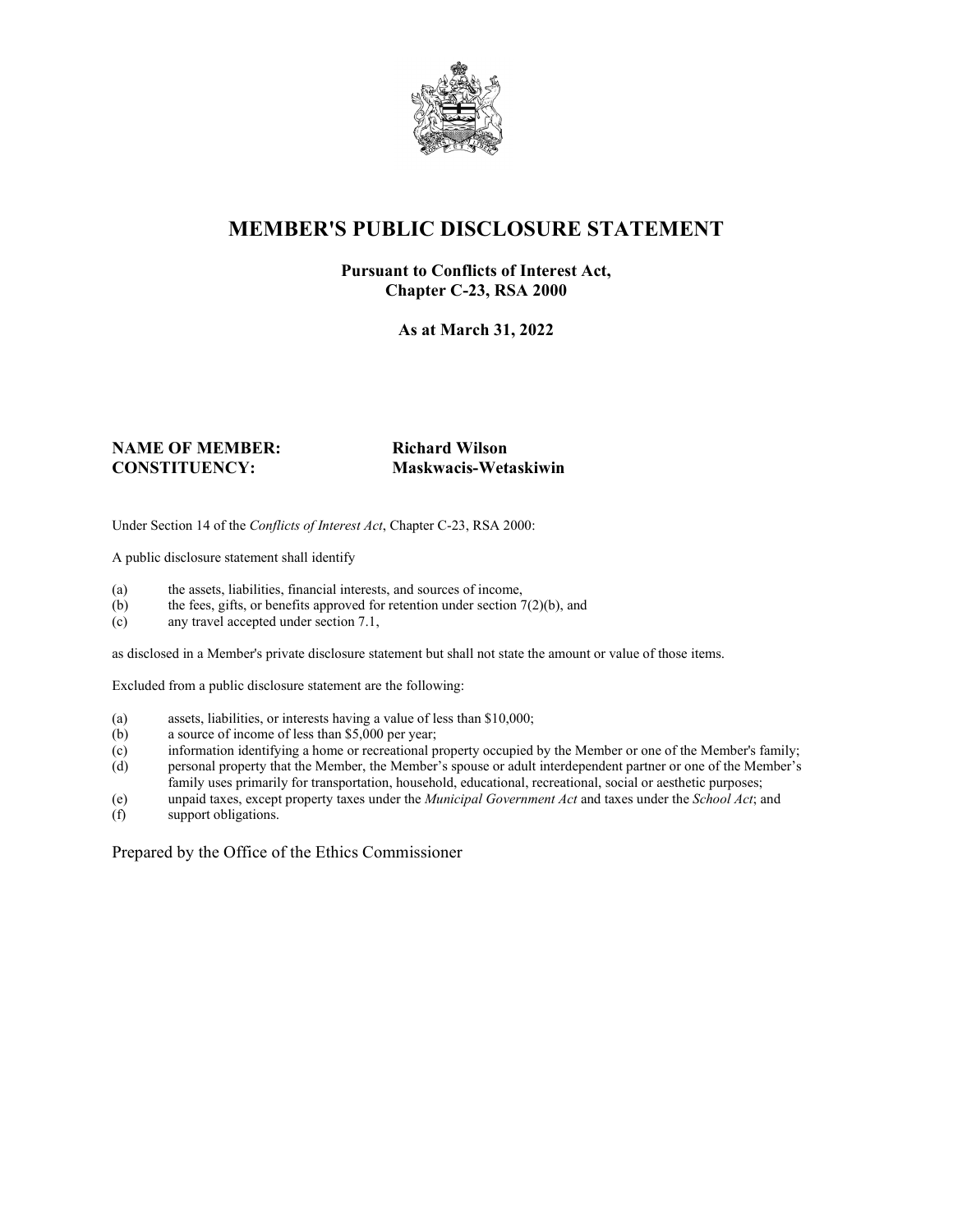

## **MEMBER'S PUBLIC DISCLOSURE STATEMENT**

#### **Pursuant to Conflicts of Interest Act, Chapter C-23, RSA 2000**

**As at March 31, 2022**

## **NAME OF MEMBER: Richard Wilson**

# **CONSTITUENCY: Maskwacis-Wetaskiwin**

Under Section 14 of the *Conflicts of Interest Act*, Chapter C-23, RSA 2000:

A public disclosure statement shall identify

- (a) the assets, liabilities, financial interests, and sources of income,  $(b)$  the fees, gifts, or benefits approved for retention under section 7
- the fees, gifts, or benefits approved for retention under section  $7(2)(b)$ , and
- (c) any travel accepted under section 7.1,

as disclosed in a Member's private disclosure statement but shall not state the amount or value of those items.

Excluded from a public disclosure statement are the following:

- (a) assets, liabilities, or interests having a value of less than \$10,000;<br>(b) a source of income of less than \$5,000 per year;
- a source of income of less than  $$5,000$  per year;
- (c) information identifying a home or recreational property occupied by the Member or one of the Member's family;
- (d) personal property that the Member, the Member's spouse or adult interdependent partner or one of the Member's family uses primarily for transportation, household, educational, recreational, social or aesthetic purposes;
- (e) unpaid taxes, except property taxes under the *Municipal Government Act* and taxes under the *School Act*; and
- (f) support obligations.

Prepared by the Office of the Ethics Commissioner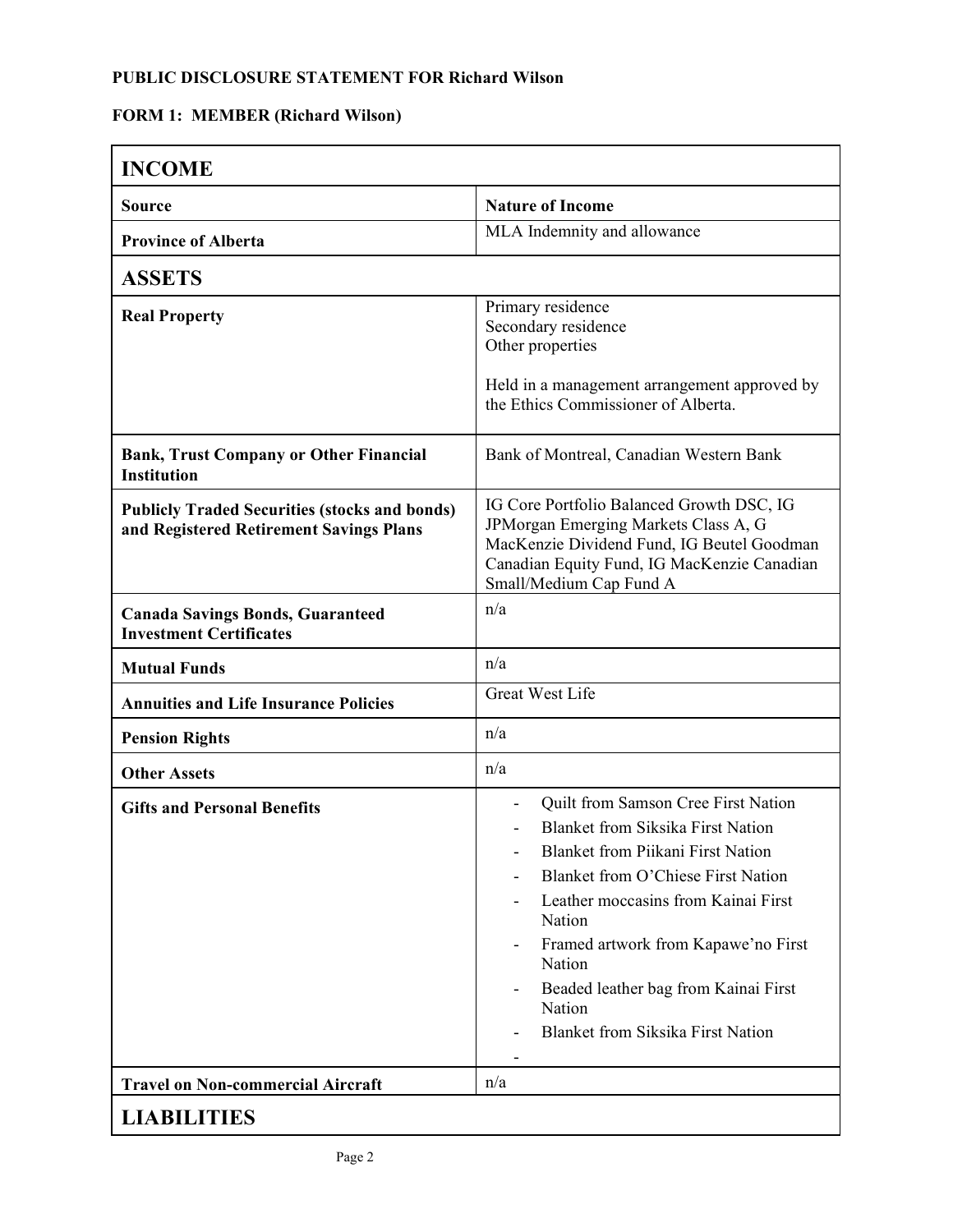## **FORM 1: MEMBER (Richard Wilson)**

| <b>INCOME</b>                                                                                   |                                                                                                                                                                                                                                                                                                                                                                          |
|-------------------------------------------------------------------------------------------------|--------------------------------------------------------------------------------------------------------------------------------------------------------------------------------------------------------------------------------------------------------------------------------------------------------------------------------------------------------------------------|
| <b>Source</b>                                                                                   | <b>Nature of Income</b>                                                                                                                                                                                                                                                                                                                                                  |
| <b>Province of Alberta</b>                                                                      | MLA Indemnity and allowance                                                                                                                                                                                                                                                                                                                                              |
| <b>ASSETS</b>                                                                                   |                                                                                                                                                                                                                                                                                                                                                                          |
| <b>Real Property</b>                                                                            | Primary residence<br>Secondary residence<br>Other properties<br>Held in a management arrangement approved by<br>the Ethics Commissioner of Alberta.                                                                                                                                                                                                                      |
| <b>Bank, Trust Company or Other Financial</b><br><b>Institution</b>                             | Bank of Montreal, Canadian Western Bank                                                                                                                                                                                                                                                                                                                                  |
| <b>Publicly Traded Securities (stocks and bonds)</b><br>and Registered Retirement Savings Plans | IG Core Portfolio Balanced Growth DSC, IG<br>JPMorgan Emerging Markets Class A, G<br>MacKenzie Dividend Fund, IG Beutel Goodman<br>Canadian Equity Fund, IG MacKenzie Canadian<br>Small/Medium Cap Fund A                                                                                                                                                                |
| <b>Canada Savings Bonds, Guaranteed</b><br><b>Investment Certificates</b>                       | n/a                                                                                                                                                                                                                                                                                                                                                                      |
| <b>Mutual Funds</b>                                                                             | n/a                                                                                                                                                                                                                                                                                                                                                                      |
| <b>Annuities and Life Insurance Policies</b>                                                    | <b>Great West Life</b>                                                                                                                                                                                                                                                                                                                                                   |
| <b>Pension Rights</b>                                                                           | n/a                                                                                                                                                                                                                                                                                                                                                                      |
| <b>Other Assets</b>                                                                             | n/a                                                                                                                                                                                                                                                                                                                                                                      |
| <b>Gifts and Personal Benefits</b>                                                              | <b>Quilt from Samson Cree First Nation</b><br><b>Blanket from Siksika First Nation</b><br><b>Blanket from Piikani First Nation</b><br>Blanket from O'Chiese First Nation<br>Leather moccasins from Kainai First<br>Nation<br>Framed artwork from Kapawe'no First<br>Nation<br>Beaded leather bag from Kainai First<br>Nation<br><b>Blanket from Siksika First Nation</b> |
| <b>Travel on Non-commercial Aircraft</b>                                                        | n/a                                                                                                                                                                                                                                                                                                                                                                      |
| <b>LIABILITIES</b>                                                                              |                                                                                                                                                                                                                                                                                                                                                                          |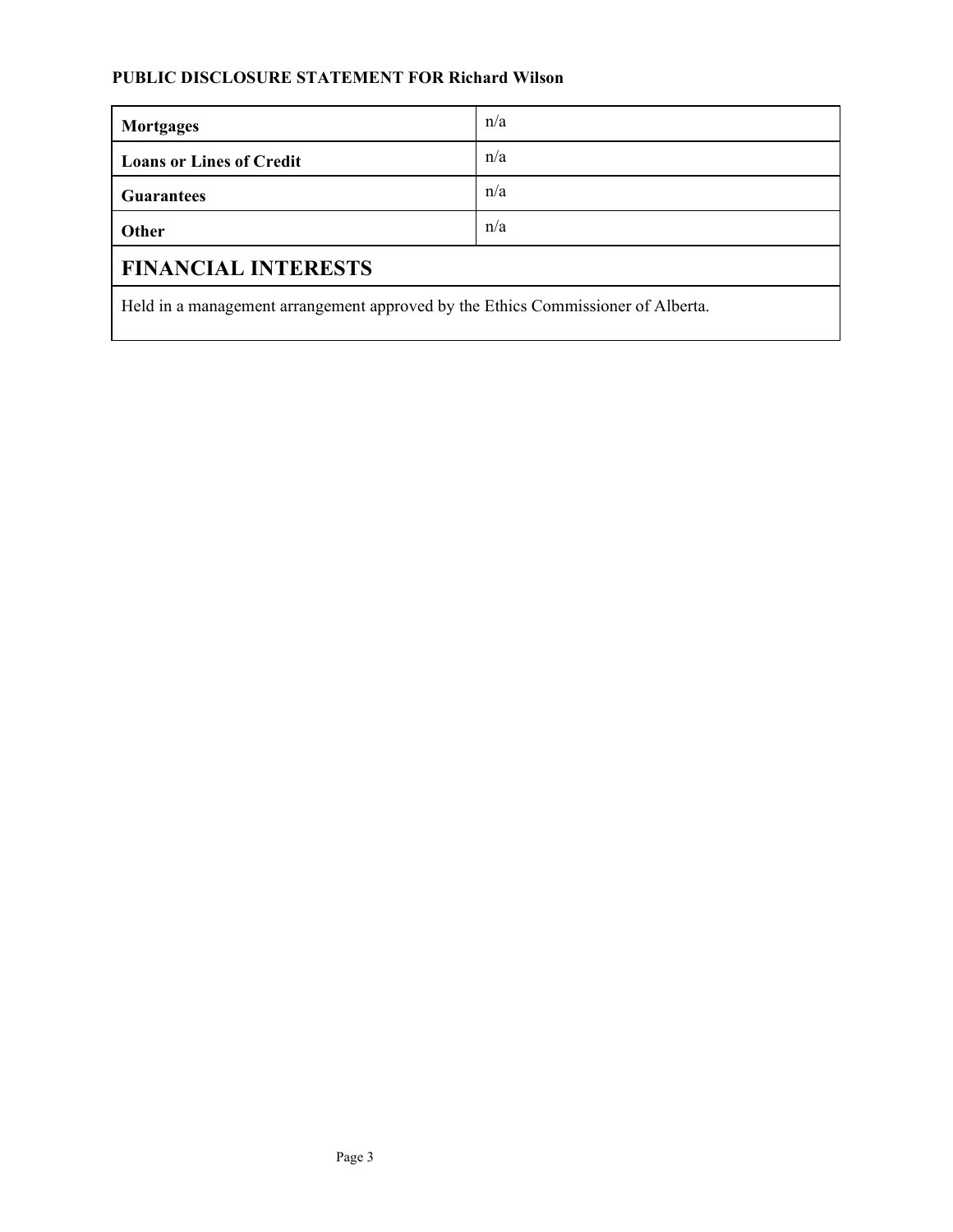| <b>Mortgages</b>                                                                 | n/a |  |
|----------------------------------------------------------------------------------|-----|--|
| <b>Loans or Lines of Credit</b>                                                  | n/a |  |
| <b>Guarantees</b>                                                                | n/a |  |
| Other                                                                            | n/a |  |
| <b>FINANCIAL INTERESTS</b>                                                       |     |  |
| Held in a management arrangement approved by the Ethics Commissioner of Alberta. |     |  |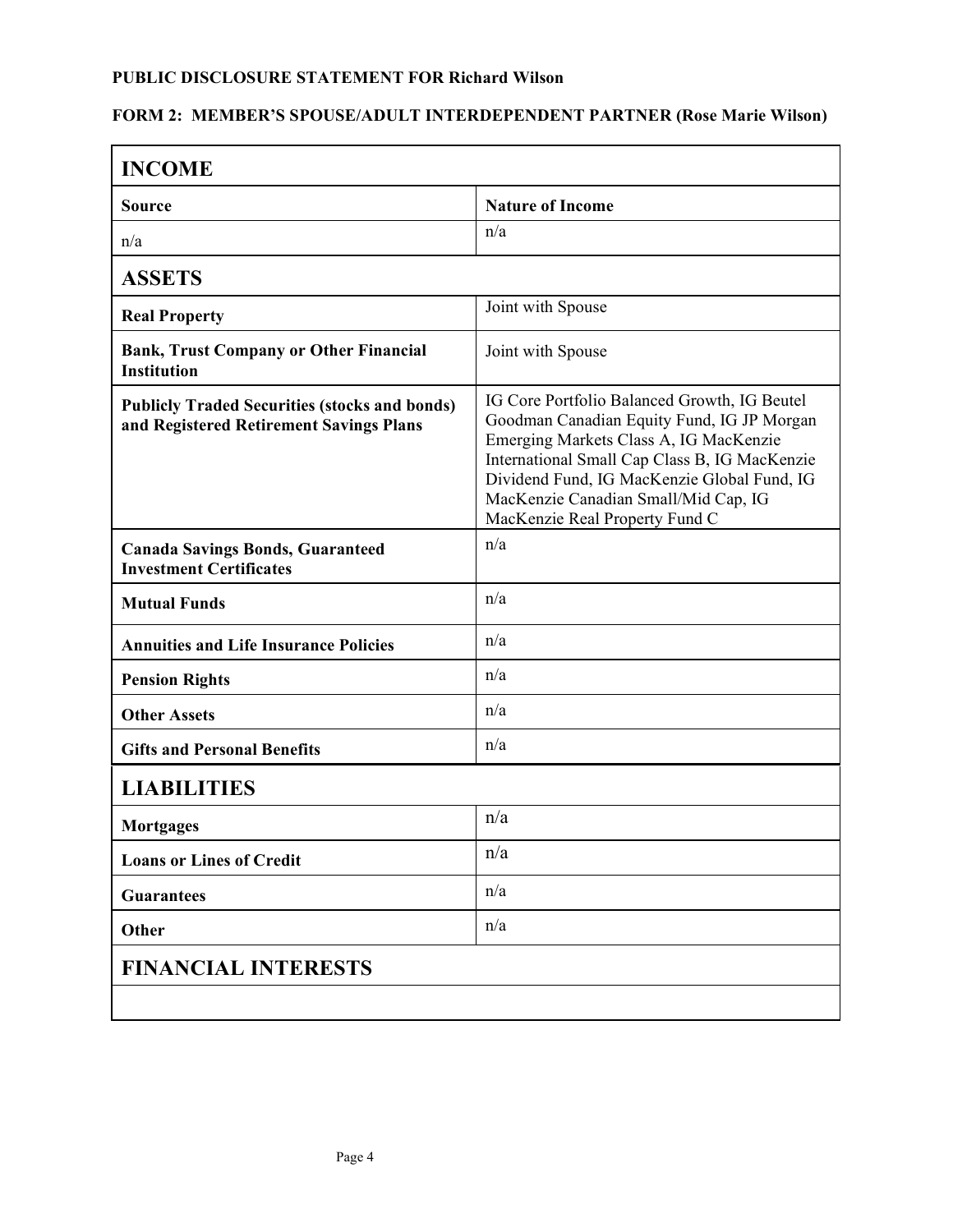## **FORM 2: MEMBER'S SPOUSE/ADULT INTERDEPENDENT PARTNER (Rose Marie Wilson)**

| <b>INCOME</b>                                                                                   |                                                                                                                                                                                                                                                                                                                |
|-------------------------------------------------------------------------------------------------|----------------------------------------------------------------------------------------------------------------------------------------------------------------------------------------------------------------------------------------------------------------------------------------------------------------|
| <b>Source</b>                                                                                   | <b>Nature of Income</b>                                                                                                                                                                                                                                                                                        |
| n/a                                                                                             | n/a                                                                                                                                                                                                                                                                                                            |
| <b>ASSETS</b>                                                                                   |                                                                                                                                                                                                                                                                                                                |
| <b>Real Property</b>                                                                            | Joint with Spouse                                                                                                                                                                                                                                                                                              |
| <b>Bank, Trust Company or Other Financial</b><br><b>Institution</b>                             | Joint with Spouse                                                                                                                                                                                                                                                                                              |
| <b>Publicly Traded Securities (stocks and bonds)</b><br>and Registered Retirement Savings Plans | IG Core Portfolio Balanced Growth, IG Beutel<br>Goodman Canadian Equity Fund, IG JP Morgan<br>Emerging Markets Class A, IG MacKenzie<br>International Small Cap Class B, IG MacKenzie<br>Dividend Fund, IG MacKenzie Global Fund, IG<br>MacKenzie Canadian Small/Mid Cap, IG<br>MacKenzie Real Property Fund C |
| <b>Canada Savings Bonds, Guaranteed</b><br><b>Investment Certificates</b>                       | n/a                                                                                                                                                                                                                                                                                                            |
| <b>Mutual Funds</b>                                                                             | n/a                                                                                                                                                                                                                                                                                                            |
| <b>Annuities and Life Insurance Policies</b>                                                    | n/a                                                                                                                                                                                                                                                                                                            |
| <b>Pension Rights</b>                                                                           | n/a                                                                                                                                                                                                                                                                                                            |
| <b>Other Assets</b>                                                                             | n/a                                                                                                                                                                                                                                                                                                            |
| <b>Gifts and Personal Benefits</b>                                                              | n/a                                                                                                                                                                                                                                                                                                            |
| <b>LIABILITIES</b>                                                                              |                                                                                                                                                                                                                                                                                                                |
| <b>Mortgages</b>                                                                                | n/a                                                                                                                                                                                                                                                                                                            |
| <b>Loans or Lines of Credit</b>                                                                 | n/a                                                                                                                                                                                                                                                                                                            |
| <b>Guarantees</b>                                                                               | n/a                                                                                                                                                                                                                                                                                                            |
| Other                                                                                           | n/a                                                                                                                                                                                                                                                                                                            |
| <b>FINANCIAL INTERESTS</b>                                                                      |                                                                                                                                                                                                                                                                                                                |
|                                                                                                 |                                                                                                                                                                                                                                                                                                                |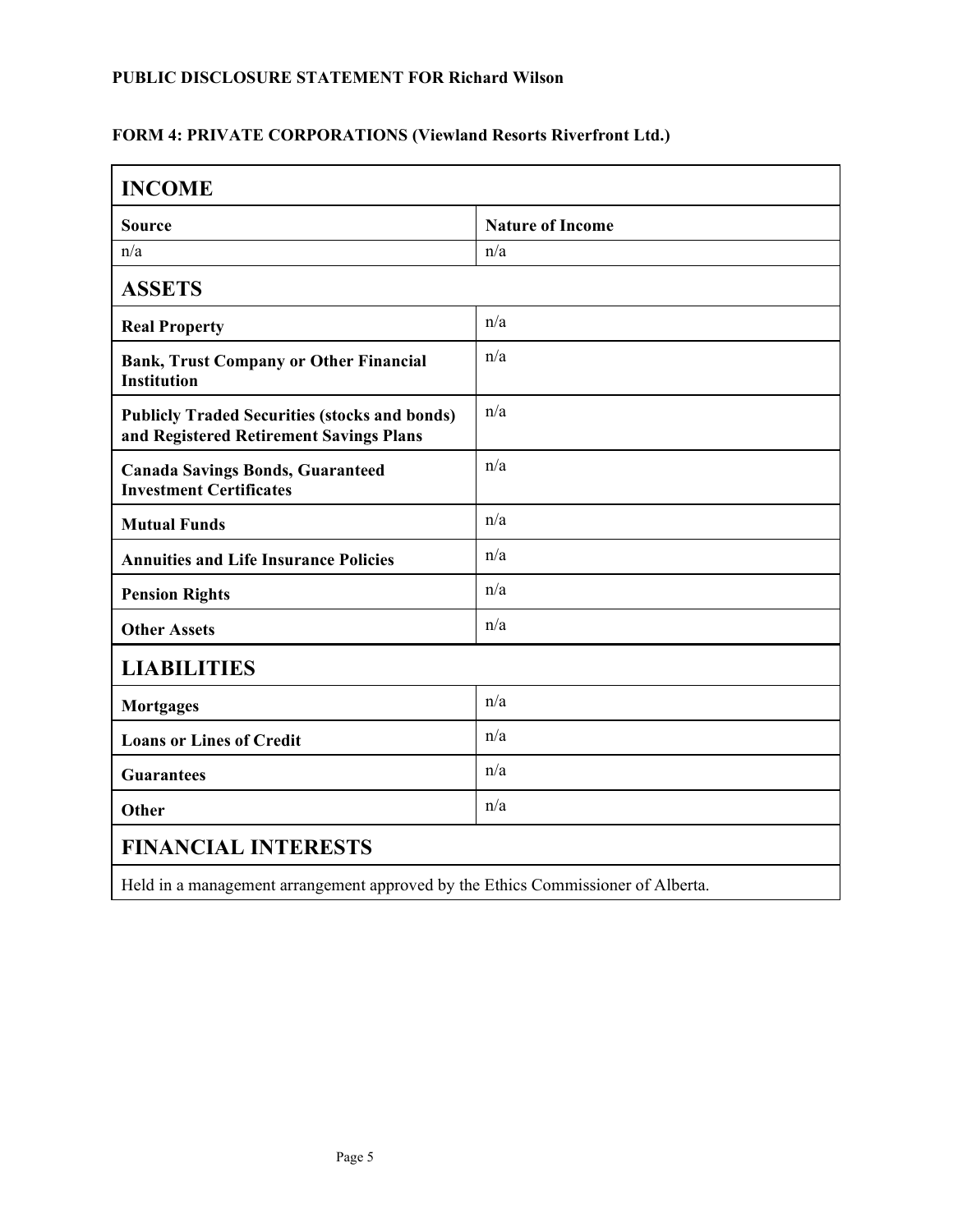## **FORM 4: PRIVATE CORPORATIONS (Viewland Resorts Riverfront Ltd.)**

| <b>INCOME</b>                                                                                   |                         |  |
|-------------------------------------------------------------------------------------------------|-------------------------|--|
| <b>Source</b>                                                                                   | <b>Nature of Income</b> |  |
| n/a                                                                                             | n/a                     |  |
| <b>ASSETS</b>                                                                                   |                         |  |
| <b>Real Property</b>                                                                            | n/a                     |  |
| <b>Bank, Trust Company or Other Financial</b><br><b>Institution</b>                             | n/a                     |  |
| <b>Publicly Traded Securities (stocks and bonds)</b><br>and Registered Retirement Savings Plans | n/a                     |  |
| <b>Canada Savings Bonds, Guaranteed</b><br><b>Investment Certificates</b>                       | n/a                     |  |
| <b>Mutual Funds</b>                                                                             | n/a                     |  |
| <b>Annuities and Life Insurance Policies</b>                                                    | n/a                     |  |
| <b>Pension Rights</b>                                                                           | n/a                     |  |
| <b>Other Assets</b>                                                                             | n/a                     |  |
| <b>LIABILITIES</b>                                                                              |                         |  |
| <b>Mortgages</b>                                                                                | n/a                     |  |
| <b>Loans or Lines of Credit</b>                                                                 | n/a                     |  |
| <b>Guarantees</b>                                                                               | n/a                     |  |
| Other                                                                                           | n/a                     |  |
| <b>FINANCIAL INTERESTS</b>                                                                      |                         |  |
| Held in a management arrangement approved by the Ethics Commissioner of Alberta.                |                         |  |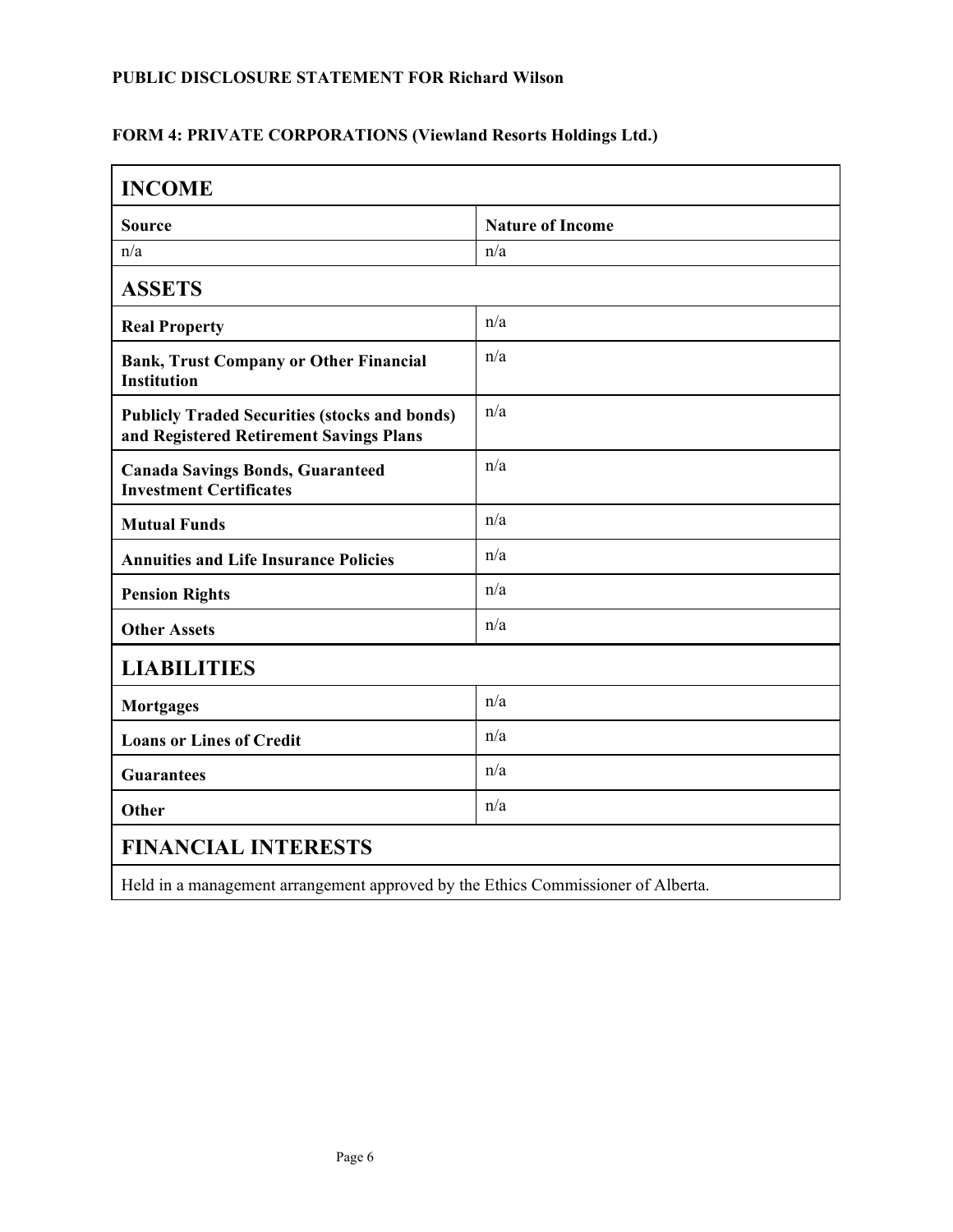## **FORM 4: PRIVATE CORPORATIONS (Viewland Resorts Holdings Ltd.)**

| <b>INCOME</b>                                                                                   |                         |  |
|-------------------------------------------------------------------------------------------------|-------------------------|--|
| <b>Source</b>                                                                                   | <b>Nature of Income</b> |  |
| n/a                                                                                             | n/a                     |  |
| <b>ASSETS</b>                                                                                   |                         |  |
| <b>Real Property</b>                                                                            | n/a                     |  |
| <b>Bank, Trust Company or Other Financial</b><br><b>Institution</b>                             | n/a                     |  |
| <b>Publicly Traded Securities (stocks and bonds)</b><br>and Registered Retirement Savings Plans | n/a                     |  |
| <b>Canada Savings Bonds, Guaranteed</b><br><b>Investment Certificates</b>                       | n/a                     |  |
| <b>Mutual Funds</b>                                                                             | n/a                     |  |
| <b>Annuities and Life Insurance Policies</b>                                                    | n/a                     |  |
| <b>Pension Rights</b>                                                                           | n/a                     |  |
| <b>Other Assets</b>                                                                             | n/a                     |  |
| <b>LIABILITIES</b>                                                                              |                         |  |
| <b>Mortgages</b>                                                                                | n/a                     |  |
| <b>Loans or Lines of Credit</b>                                                                 | n/a                     |  |
| <b>Guarantees</b>                                                                               | n/a                     |  |
| Other                                                                                           | n/a                     |  |
| <b>FINANCIAL INTERESTS</b>                                                                      |                         |  |
| Held in a management arrangement approved by the Ethics Commissioner of Alberta.                |                         |  |